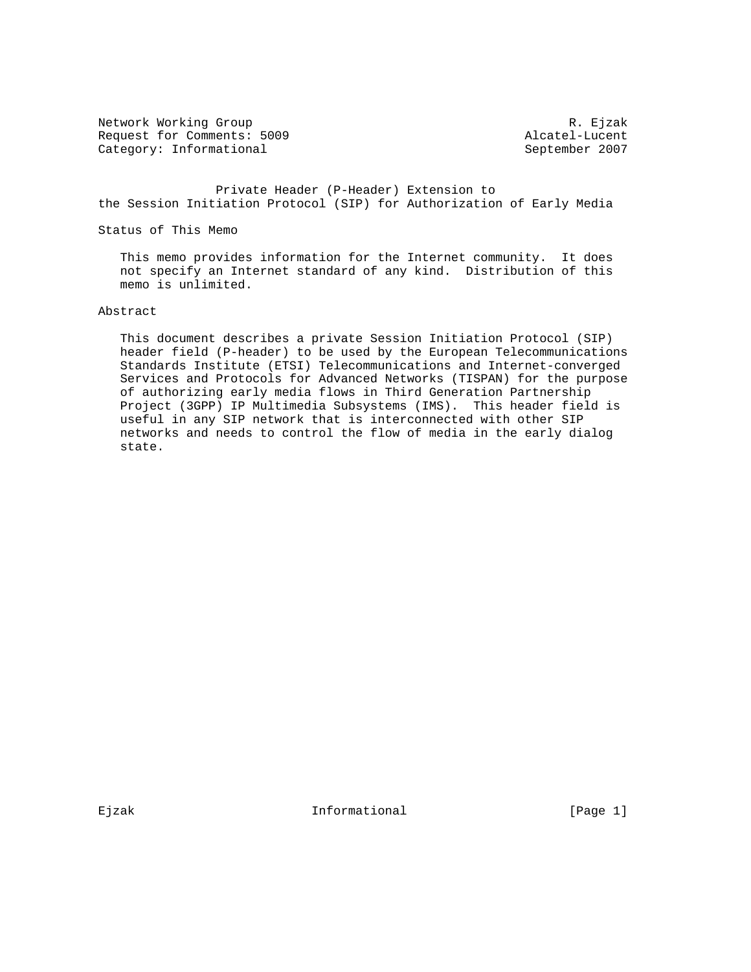Network Working Group and the set of the set of the set of the set of the set of the set of the set of the set of the set of the set of the set of the set of the set of the set of the set of the set of the set of the set o Request for Comments: 5009 Alcatel-Lucent Category: Informational September 2007

 Private Header (P-Header) Extension to the Session Initiation Protocol (SIP) for Authorization of Early Media

Status of This Memo

 This memo provides information for the Internet community. It does not specify an Internet standard of any kind. Distribution of this memo is unlimited.

## Abstract

 This document describes a private Session Initiation Protocol (SIP) header field (P-header) to be used by the European Telecommunications Standards Institute (ETSI) Telecommunications and Internet-converged Services and Protocols for Advanced Networks (TISPAN) for the purpose of authorizing early media flows in Third Generation Partnership Project (3GPP) IP Multimedia Subsystems (IMS). This header field is useful in any SIP network that is interconnected with other SIP networks and needs to control the flow of media in the early dialog state.

Ejzak **Informational Informational** [Page 1]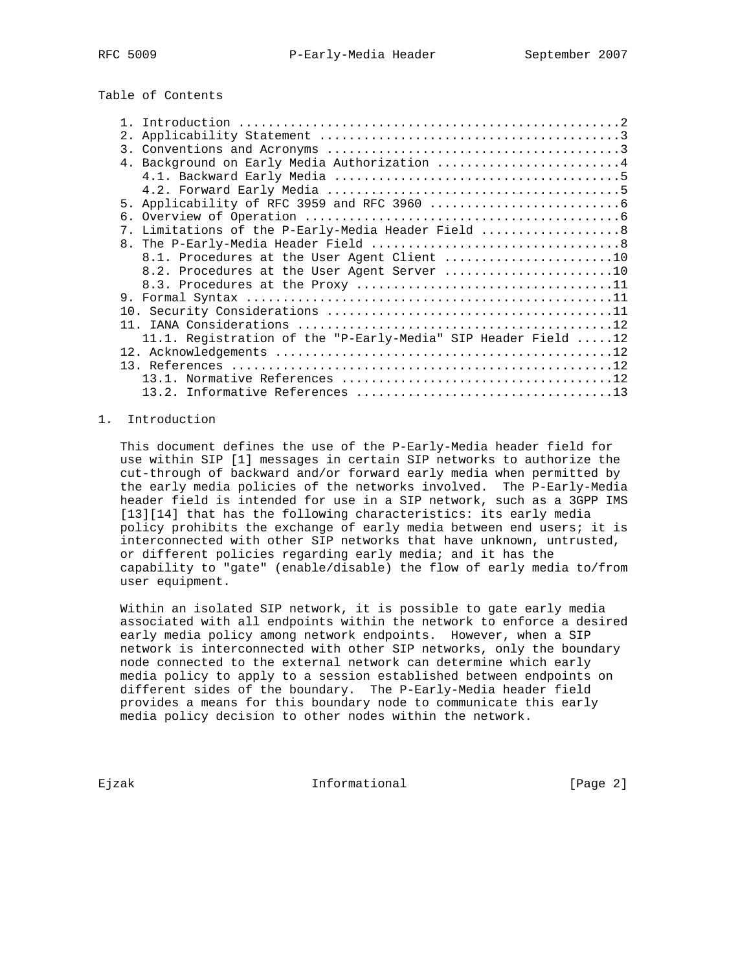# Table of Contents

| 2. |                                                               |
|----|---------------------------------------------------------------|
|    |                                                               |
|    | 4. Background on Early Media Authorization 4                  |
|    |                                                               |
|    |                                                               |
|    |                                                               |
|    |                                                               |
|    | 7. Limitations of the P-Early-Media Header Field  8           |
|    |                                                               |
|    | 8.1. Procedures at the User Agent Client 10                   |
|    | 8.2. Procedures at the User Agent Server 10                   |
|    |                                                               |
|    |                                                               |
|    |                                                               |
|    |                                                               |
|    | 11.1. Registration of the "P-Early-Media" SIP Header Field 12 |
|    |                                                               |
|    |                                                               |
|    |                                                               |
|    |                                                               |

# 1. Introduction

 This document defines the use of the P-Early-Media header field for use within SIP [1] messages in certain SIP networks to authorize the cut-through of backward and/or forward early media when permitted by the early media policies of the networks involved. The P-Early-Media header field is intended for use in a SIP network, such as a 3GPP IMS [13][14] that has the following characteristics: its early media policy prohibits the exchange of early media between end users; it is interconnected with other SIP networks that have unknown, untrusted, or different policies regarding early media; and it has the capability to "gate" (enable/disable) the flow of early media to/from user equipment.

 Within an isolated SIP network, it is possible to gate early media associated with all endpoints within the network to enforce a desired early media policy among network endpoints. However, when a SIP network is interconnected with other SIP networks, only the boundary node connected to the external network can determine which early media policy to apply to a session established between endpoints on different sides of the boundary. The P-Early-Media header field provides a means for this boundary node to communicate this early media policy decision to other nodes within the network.

Ejzak 10. Informational 1999 (Page 2)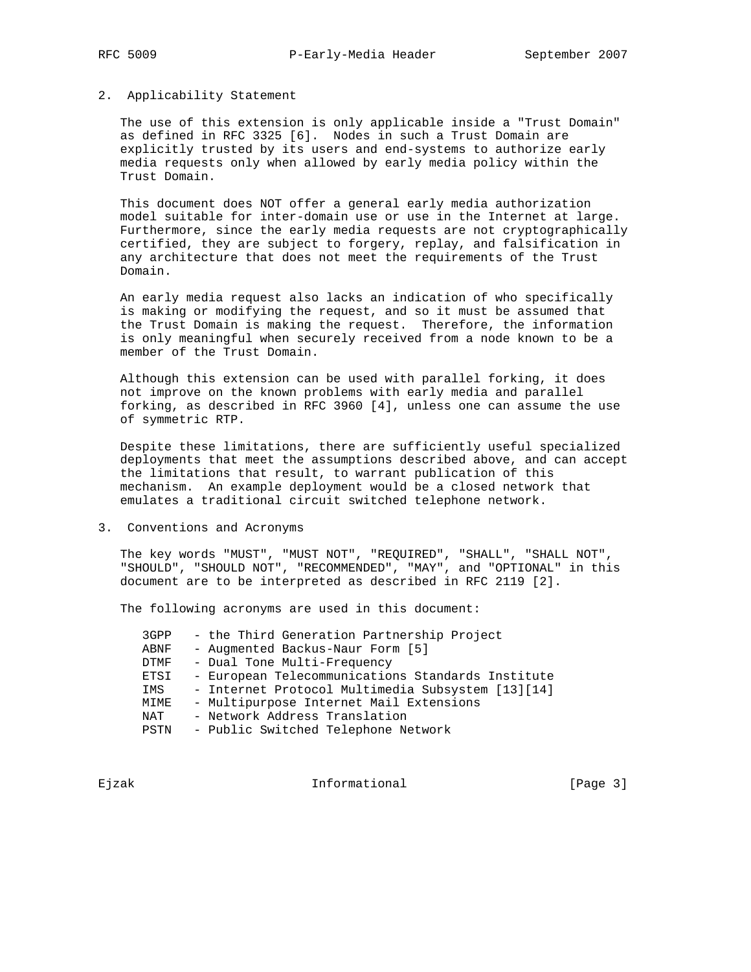#### 2. Applicability Statement

 The use of this extension is only applicable inside a "Trust Domain" as defined in RFC 3325 [6]. Nodes in such a Trust Domain are explicitly trusted by its users and end-systems to authorize early media requests only when allowed by early media policy within the Trust Domain.

 This document does NOT offer a general early media authorization model suitable for inter-domain use or use in the Internet at large. Furthermore, since the early media requests are not cryptographically certified, they are subject to forgery, replay, and falsification in any architecture that does not meet the requirements of the Trust Domain.

 An early media request also lacks an indication of who specifically is making or modifying the request, and so it must be assumed that the Trust Domain is making the request. Therefore, the information is only meaningful when securely received from a node known to be a member of the Trust Domain.

 Although this extension can be used with parallel forking, it does not improve on the known problems with early media and parallel forking, as described in RFC 3960 [4], unless one can assume the use of symmetric RTP.

 Despite these limitations, there are sufficiently useful specialized deployments that meet the assumptions described above, and can accept the limitations that result, to warrant publication of this mechanism. An example deployment would be a closed network that emulates a traditional circuit switched telephone network.

3. Conventions and Acronyms

 The key words "MUST", "MUST NOT", "REQUIRED", "SHALL", "SHALL NOT", "SHOULD", "SHOULD NOT", "RECOMMENDED", "MAY", and "OPTIONAL" in this document are to be interpreted as described in RFC 2119 [2].

The following acronyms are used in this document:

| 3GPP        | - the Third Generation Partnership Project        |
|-------------|---------------------------------------------------|
| ABNF        | - Augmented Backus-Naur Form [5]                  |
| <b>DTMF</b> | - Dual Tone Multi-Frequency                       |
| ETSI        | - European Telecommunications Standards Institute |
| IMS         | - Internet Protocol Multimedia Subsystem [13][14] |
| MIME        | - Multipurpose Internet Mail Extensions           |
| NAT         | - Network Address Translation                     |
| PSTN        | - Public Switched Telephone Network               |

Ejzak 10. Informational 1996 [Page 3]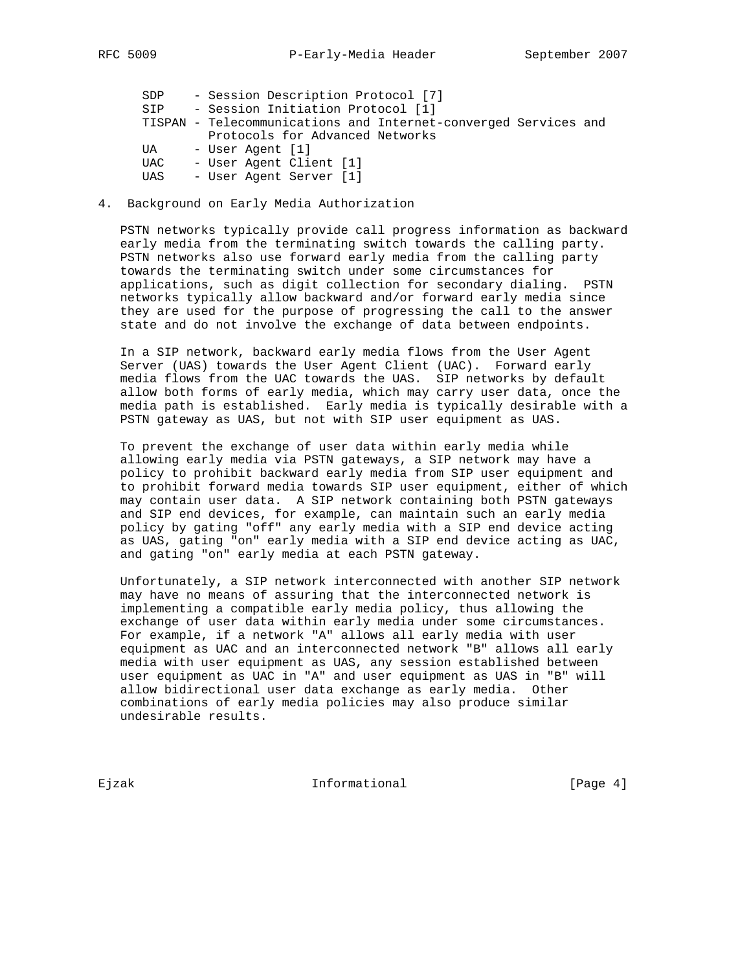SDP - Session Description Protocol [7] SIP - Session Initiation Protocol [1] TISPAN - Telecommunications and Internet-converged Services and Protocols for Advanced Networks UA - User Agent [1] UAC - User Agent Client [1] UAS - User Agent Server [1]

### 4. Background on Early Media Authorization

 PSTN networks typically provide call progress information as backward early media from the terminating switch towards the calling party. PSTN networks also use forward early media from the calling party towards the terminating switch under some circumstances for applications, such as digit collection for secondary dialing. PSTN networks typically allow backward and/or forward early media since they are used for the purpose of progressing the call to the answer state and do not involve the exchange of data between endpoints.

 In a SIP network, backward early media flows from the User Agent Server (UAS) towards the User Agent Client (UAC). Forward early media flows from the UAC towards the UAS. SIP networks by default allow both forms of early media, which may carry user data, once the media path is established. Early media is typically desirable with a PSTN gateway as UAS, but not with SIP user equipment as UAS.

 To prevent the exchange of user data within early media while allowing early media via PSTN gateways, a SIP network may have a policy to prohibit backward early media from SIP user equipment and to prohibit forward media towards SIP user equipment, either of which may contain user data. A SIP network containing both PSTN gateways and SIP end devices, for example, can maintain such an early media policy by gating "off" any early media with a SIP end device acting as UAS, gating "on" early media with a SIP end device acting as UAC, and gating "on" early media at each PSTN gateway.

 Unfortunately, a SIP network interconnected with another SIP network may have no means of assuring that the interconnected network is implementing a compatible early media policy, thus allowing the exchange of user data within early media under some circumstances. For example, if a network "A" allows all early media with user equipment as UAC and an interconnected network "B" allows all early media with user equipment as UAS, any session established between user equipment as UAC in "A" and user equipment as UAS in "B" will allow bidirectional user data exchange as early media. Other combinations of early media policies may also produce similar undesirable results.

Ejzak 1nformational 1992 [Page 4]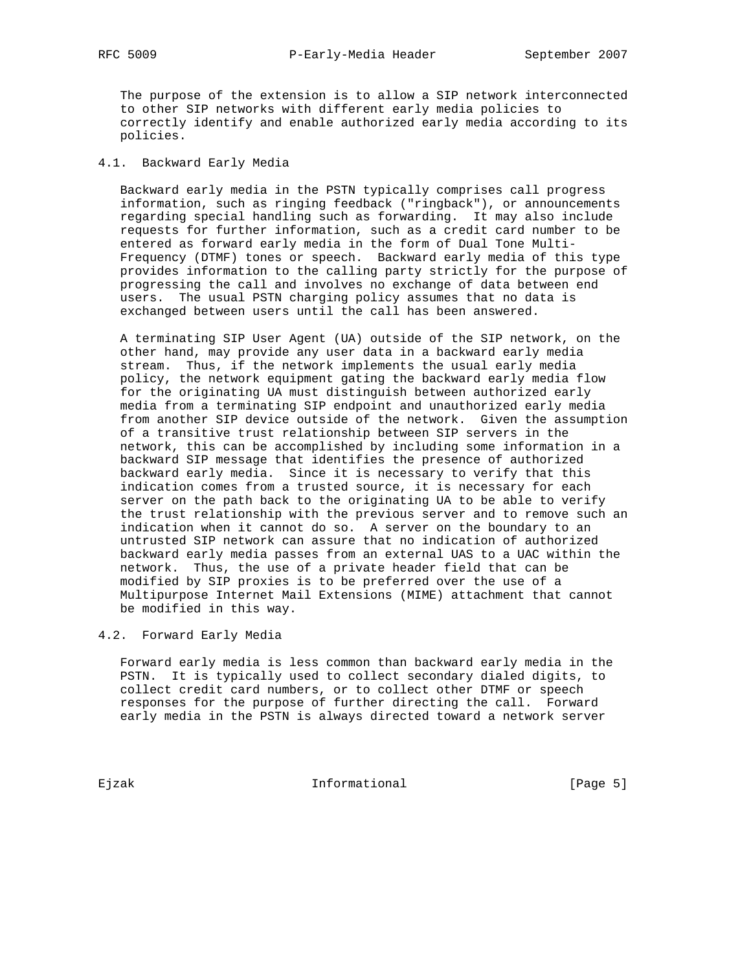The purpose of the extension is to allow a SIP network interconnected to other SIP networks with different early media policies to correctly identify and enable authorized early media according to its policies.

## 4.1. Backward Early Media

 Backward early media in the PSTN typically comprises call progress information, such as ringing feedback ("ringback"), or announcements regarding special handling such as forwarding. It may also include requests for further information, such as a credit card number to be entered as forward early media in the form of Dual Tone Multi- Frequency (DTMF) tones or speech. Backward early media of this type provides information to the calling party strictly for the purpose of progressing the call and involves no exchange of data between end users. The usual PSTN charging policy assumes that no data is exchanged between users until the call has been answered.

 A terminating SIP User Agent (UA) outside of the SIP network, on the other hand, may provide any user data in a backward early media stream. Thus, if the network implements the usual early media policy, the network equipment gating the backward early media flow for the originating UA must distinguish between authorized early media from a terminating SIP endpoint and unauthorized early media from another SIP device outside of the network. Given the assumption of a transitive trust relationship between SIP servers in the network, this can be accomplished by including some information in a backward SIP message that identifies the presence of authorized backward early media. Since it is necessary to verify that this indication comes from a trusted source, it is necessary for each server on the path back to the originating UA to be able to verify the trust relationship with the previous server and to remove such an indication when it cannot do so. A server on the boundary to an untrusted SIP network can assure that no indication of authorized backward early media passes from an external UAS to a UAC within the network. Thus, the use of a private header field that can be modified by SIP proxies is to be preferred over the use of a Multipurpose Internet Mail Extensions (MIME) attachment that cannot be modified in this way.

### 4.2. Forward Early Media

 Forward early media is less common than backward early media in the PSTN. It is typically used to collect secondary dialed digits, to collect credit card numbers, or to collect other DTMF or speech responses for the purpose of further directing the call. Forward early media in the PSTN is always directed toward a network server

Ejzak **Informational Informational** [Page 5]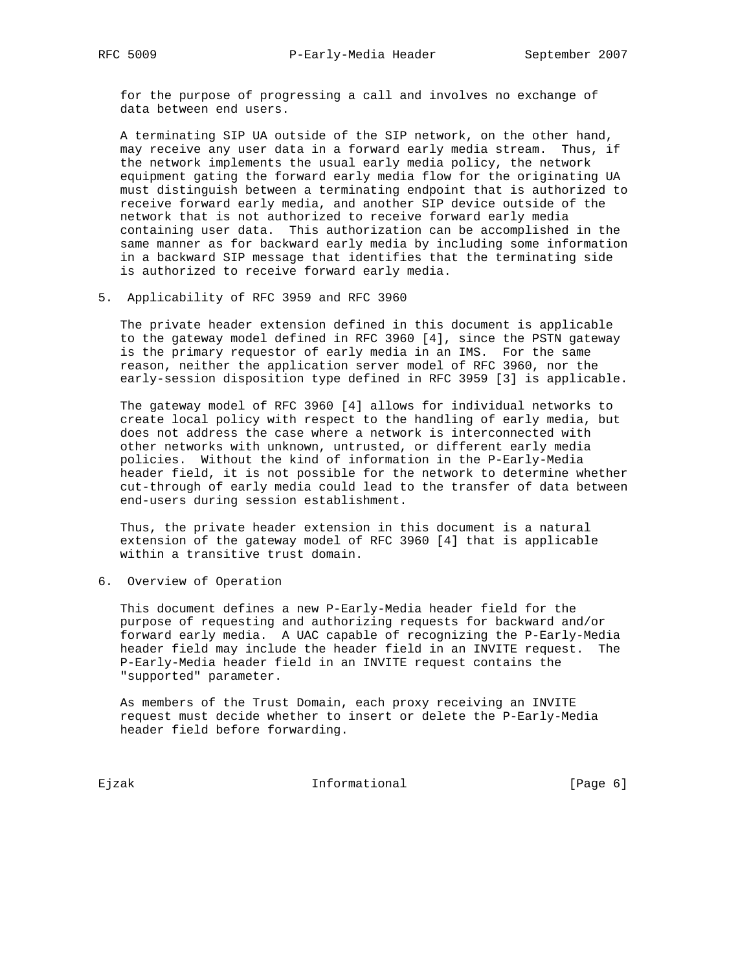for the purpose of progressing a call and involves no exchange of data between end users.

 A terminating SIP UA outside of the SIP network, on the other hand, may receive any user data in a forward early media stream. Thus, if the network implements the usual early media policy, the network equipment gating the forward early media flow for the originating UA must distinguish between a terminating endpoint that is authorized to receive forward early media, and another SIP device outside of the network that is not authorized to receive forward early media containing user data. This authorization can be accomplished in the same manner as for backward early media by including some information in a backward SIP message that identifies that the terminating side is authorized to receive forward early media.

#### 5. Applicability of RFC 3959 and RFC 3960

 The private header extension defined in this document is applicable to the gateway model defined in RFC 3960 [4], since the PSTN gateway is the primary requestor of early media in an IMS. For the same reason, neither the application server model of RFC 3960, nor the early-session disposition type defined in RFC 3959 [3] is applicable.

 The gateway model of RFC 3960 [4] allows for individual networks to create local policy with respect to the handling of early media, but does not address the case where a network is interconnected with other networks with unknown, untrusted, or different early media policies. Without the kind of information in the P-Early-Media header field, it is not possible for the network to determine whether cut-through of early media could lead to the transfer of data between end-users during session establishment.

 Thus, the private header extension in this document is a natural extension of the gateway model of RFC 3960 [4] that is applicable within a transitive trust domain.

6. Overview of Operation

 This document defines a new P-Early-Media header field for the purpose of requesting and authorizing requests for backward and/or forward early media. A UAC capable of recognizing the P-Early-Media header field may include the header field in an INVITE request. The P-Early-Media header field in an INVITE request contains the "supported" parameter.

 As members of the Trust Domain, each proxy receiving an INVITE request must decide whether to insert or delete the P-Early-Media header field before forwarding.

Ejzak 1nformational 1992 [Page 6]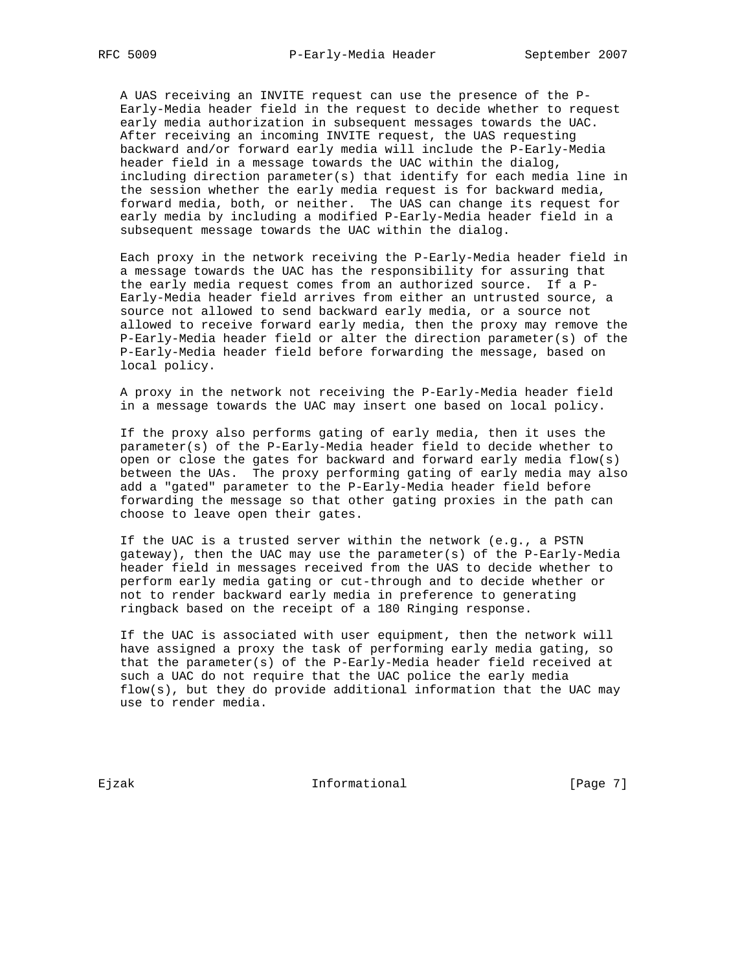A UAS receiving an INVITE request can use the presence of the P- Early-Media header field in the request to decide whether to request early media authorization in subsequent messages towards the UAC. After receiving an incoming INVITE request, the UAS requesting backward and/or forward early media will include the P-Early-Media header field in a message towards the UAC within the dialog, including direction parameter(s) that identify for each media line in the session whether the early media request is for backward media, forward media, both, or neither. The UAS can change its request for early media by including a modified P-Early-Media header field in a subsequent message towards the UAC within the dialog.

 Each proxy in the network receiving the P-Early-Media header field in a message towards the UAC has the responsibility for assuring that the early media request comes from an authorized source. If a P- Early-Media header field arrives from either an untrusted source, a source not allowed to send backward early media, or a source not allowed to receive forward early media, then the proxy may remove the P-Early-Media header field or alter the direction parameter(s) of the P-Early-Media header field before forwarding the message, based on local policy.

 A proxy in the network not receiving the P-Early-Media header field in a message towards the UAC may insert one based on local policy.

 If the proxy also performs gating of early media, then it uses the parameter(s) of the P-Early-Media header field to decide whether to open or close the gates for backward and forward early media flow(s) between the UAs. The proxy performing gating of early media may also add a "gated" parameter to the P-Early-Media header field before forwarding the message so that other gating proxies in the path can choose to leave open their gates.

 If the UAC is a trusted server within the network (e.g., a PSTN gateway), then the UAC may use the parameter(s) of the P-Early-Media header field in messages received from the UAS to decide whether to perform early media gating or cut-through and to decide whether or not to render backward early media in preference to generating ringback based on the receipt of a 180 Ringing response.

 If the UAC is associated with user equipment, then the network will have assigned a proxy the task of performing early media gating, so that the parameter(s) of the P-Early-Media header field received at such a UAC do not require that the UAC police the early media flow(s), but they do provide additional information that the UAC may use to render media.

Ejzak **Informational** Informational [Page 7]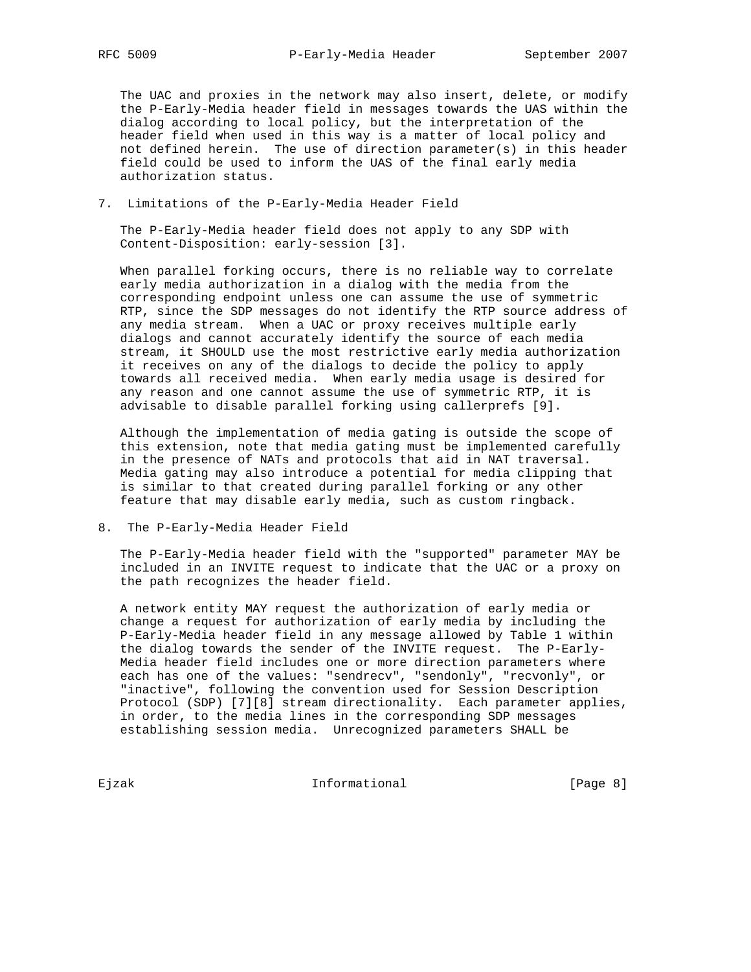The UAC and proxies in the network may also insert, delete, or modify the P-Early-Media header field in messages towards the UAS within the dialog according to local policy, but the interpretation of the header field when used in this way is a matter of local policy and not defined herein. The use of direction parameter(s) in this header field could be used to inform the UAS of the final early media authorization status.

### 7. Limitations of the P-Early-Media Header Field

 The P-Early-Media header field does not apply to any SDP with Content-Disposition: early-session [3].

 When parallel forking occurs, there is no reliable way to correlate early media authorization in a dialog with the media from the corresponding endpoint unless one can assume the use of symmetric RTP, since the SDP messages do not identify the RTP source address of any media stream. When a UAC or proxy receives multiple early dialogs and cannot accurately identify the source of each media stream, it SHOULD use the most restrictive early media authorization it receives on any of the dialogs to decide the policy to apply towards all received media. When early media usage is desired for any reason and one cannot assume the use of symmetric RTP, it is advisable to disable parallel forking using callerprefs [9].

 Although the implementation of media gating is outside the scope of this extension, note that media gating must be implemented carefully in the presence of NATs and protocols that aid in NAT traversal. Media gating may also introduce a potential for media clipping that is similar to that created during parallel forking or any other feature that may disable early media, such as custom ringback.

### 8. The P-Early-Media Header Field

 The P-Early-Media header field with the "supported" parameter MAY be included in an INVITE request to indicate that the UAC or a proxy on the path recognizes the header field.

 A network entity MAY request the authorization of early media or change a request for authorization of early media by including the P-Early-Media header field in any message allowed by Table 1 within the dialog towards the sender of the INVITE request. The P-Early- Media header field includes one or more direction parameters where each has one of the values: "sendrecv", "sendonly", "recvonly", or "inactive", following the convention used for Session Description Protocol (SDP) [7][8] stream directionality. Each parameter applies, in order, to the media lines in the corresponding SDP messages establishing session media. Unrecognized parameters SHALL be

Ejzak 1nformational 1992 [Page 8]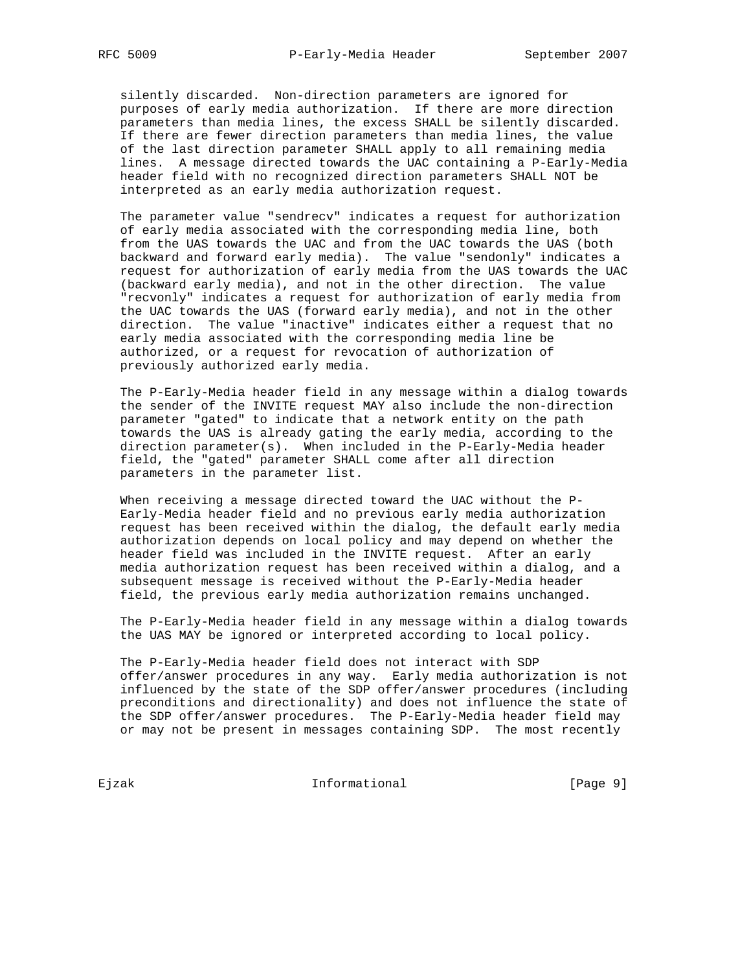silently discarded. Non-direction parameters are ignored for purposes of early media authorization. If there are more direction parameters than media lines, the excess SHALL be silently discarded. If there are fewer direction parameters than media lines, the value of the last direction parameter SHALL apply to all remaining media lines. A message directed towards the UAC containing a P-Early-Media header field with no recognized direction parameters SHALL NOT be interpreted as an early media authorization request.

 The parameter value "sendrecv" indicates a request for authorization of early media associated with the corresponding media line, both from the UAS towards the UAC and from the UAC towards the UAS (both backward and forward early media). The value "sendonly" indicates a request for authorization of early media from the UAS towards the UAC (backward early media), and not in the other direction. The value "recvonly" indicates a request for authorization of early media from the UAC towards the UAS (forward early media), and not in the other direction. The value "inactive" indicates either a request that no early media associated with the corresponding media line be authorized, or a request for revocation of authorization of previously authorized early media.

 The P-Early-Media header field in any message within a dialog towards the sender of the INVITE request MAY also include the non-direction parameter "gated" to indicate that a network entity on the path towards the UAS is already gating the early media, according to the direction parameter(s). When included in the P-Early-Media header field, the "gated" parameter SHALL come after all direction parameters in the parameter list.

When receiving a message directed toward the UAC without the P- Early-Media header field and no previous early media authorization request has been received within the dialog, the default early media authorization depends on local policy and may depend on whether the header field was included in the INVITE request. After an early media authorization request has been received within a dialog, and a subsequent message is received without the P-Early-Media header field, the previous early media authorization remains unchanged.

 The P-Early-Media header field in any message within a dialog towards the UAS MAY be ignored or interpreted according to local policy.

 The P-Early-Media header field does not interact with SDP offer/answer procedures in any way. Early media authorization is not influenced by the state of the SDP offer/answer procedures (including preconditions and directionality) and does not influence the state of the SDP offer/answer procedures. The P-Early-Media header field may or may not be present in messages containing SDP. The most recently

Ejzak **Informational** [Page 9]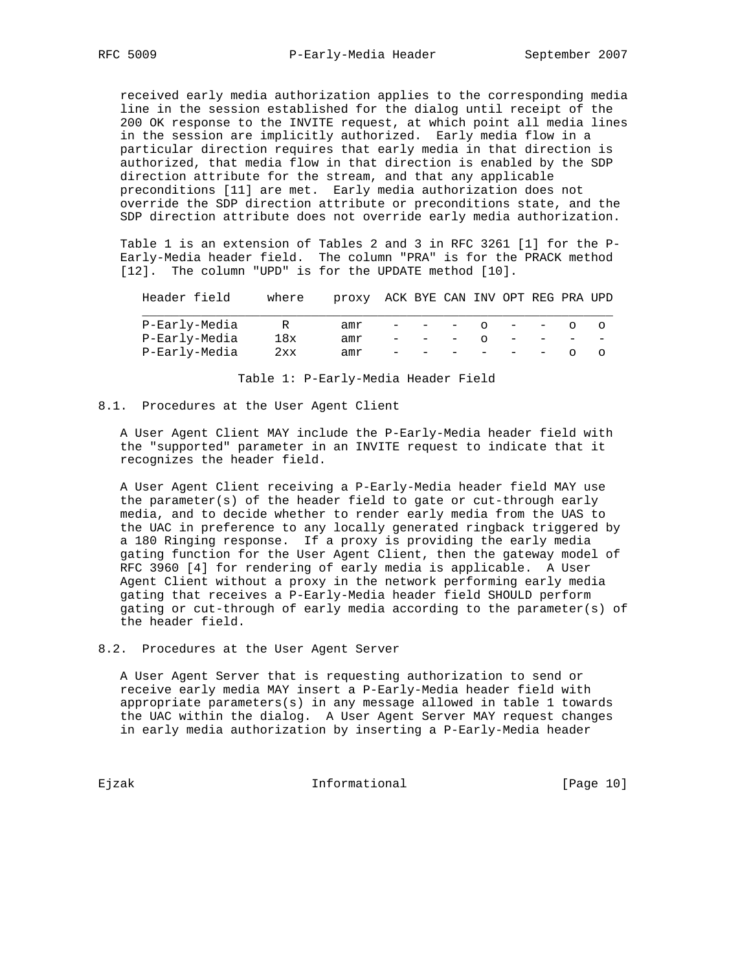received early media authorization applies to the corresponding media line in the session established for the dialog until receipt of the 200 OK response to the INVITE request, at which point all media lines in the session are implicitly authorized. Early media flow in a particular direction requires that early media in that direction is authorized, that media flow in that direction is enabled by the SDP direction attribute for the stream, and that any applicable preconditions [11] are met. Early media authorization does not override the SDP direction attribute or preconditions state, and the SDP direction attribute does not override early media authorization.

 Table 1 is an extension of Tables 2 and 3 in RFC 3261 [1] for the P- Early-Media header field. The column "PRA" is for the PRACK method [12]. The column "UPD" is for the UPDATE method [10].

 Header field where proxy ACK BYE CAN INV OPT REG PRA UPD  $\mathcal{L}_\text{max}$  , and the set of the set of the set of the set of the set of the set of the set of the set of the set of the set of the set of the set of the set of the set of the set of the set of the set of the set of the P-Early-Media R amr - - - o - - o o P-Early-Media 18x amr - - - o - - - - P-Early-Media 2xx amr - - - - - - o o

Table 1: P-Early-Media Header Field

### 8.1. Procedures at the User Agent Client

 A User Agent Client MAY include the P-Early-Media header field with the "supported" parameter in an INVITE request to indicate that it recognizes the header field.

 A User Agent Client receiving a P-Early-Media header field MAY use the parameter(s) of the header field to gate or cut-through early media, and to decide whether to render early media from the UAS to the UAC in preference to any locally generated ringback triggered by a 180 Ringing response. If a proxy is providing the early media gating function for the User Agent Client, then the gateway model of RFC 3960 [4] for rendering of early media is applicable. A User Agent Client without a proxy in the network performing early media gating that receives a P-Early-Media header field SHOULD perform gating or cut-through of early media according to the parameter(s) of the header field.

8.2. Procedures at the User Agent Server

 A User Agent Server that is requesting authorization to send or receive early media MAY insert a P-Early-Media header field with appropriate parameters(s) in any message allowed in table 1 towards the UAC within the dialog. A User Agent Server MAY request changes in early media authorization by inserting a P-Early-Media header

Ejzak 10]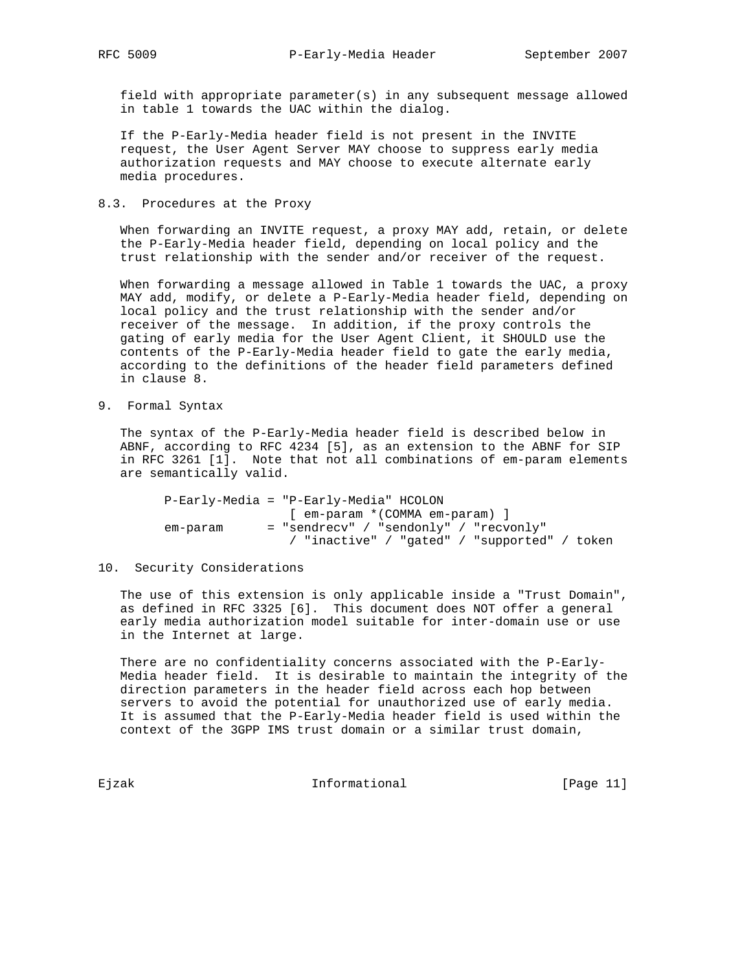field with appropriate parameter(s) in any subsequent message allowed in table 1 towards the UAC within the dialog.

 If the P-Early-Media header field is not present in the INVITE request, the User Agent Server MAY choose to suppress early media authorization requests and MAY choose to execute alternate early media procedures.

8.3. Procedures at the Proxy

 When forwarding an INVITE request, a proxy MAY add, retain, or delete the P-Early-Media header field, depending on local policy and the trust relationship with the sender and/or receiver of the request.

 When forwarding a message allowed in Table 1 towards the UAC, a proxy MAY add, modify, or delete a P-Early-Media header field, depending on local policy and the trust relationship with the sender and/or receiver of the message. In addition, if the proxy controls the gating of early media for the User Agent Client, it SHOULD use the contents of the P-Early-Media header field to gate the early media, according to the definitions of the header field parameters defined in clause 8.

9. Formal Syntax

 The syntax of the P-Early-Media header field is described below in ABNF, according to RFC 4234 [5], as an extension to the ABNF for SIP in RFC 3261 [1]. Note that not all combinations of em-param elements are semantically valid.

 P-Early-Media = "P-Early-Media" HCOLON [ em-param \*(COMMA em-param) ] em-param = "sendrecv" / "sendonly" / "recvonly" / "inactive" / "gated" / "supported" / token

10. Security Considerations

 The use of this extension is only applicable inside a "Trust Domain", as defined in RFC 3325 [6]. This document does NOT offer a general early media authorization model suitable for inter-domain use or use in the Internet at large.

 There are no confidentiality concerns associated with the P-Early- Media header field. It is desirable to maintain the integrity of the direction parameters in the header field across each hop between servers to avoid the potential for unauthorized use of early media. It is assumed that the P-Early-Media header field is used within the context of the 3GPP IMS trust domain or a similar trust domain,

Ejzak 11 Informational [Page 11]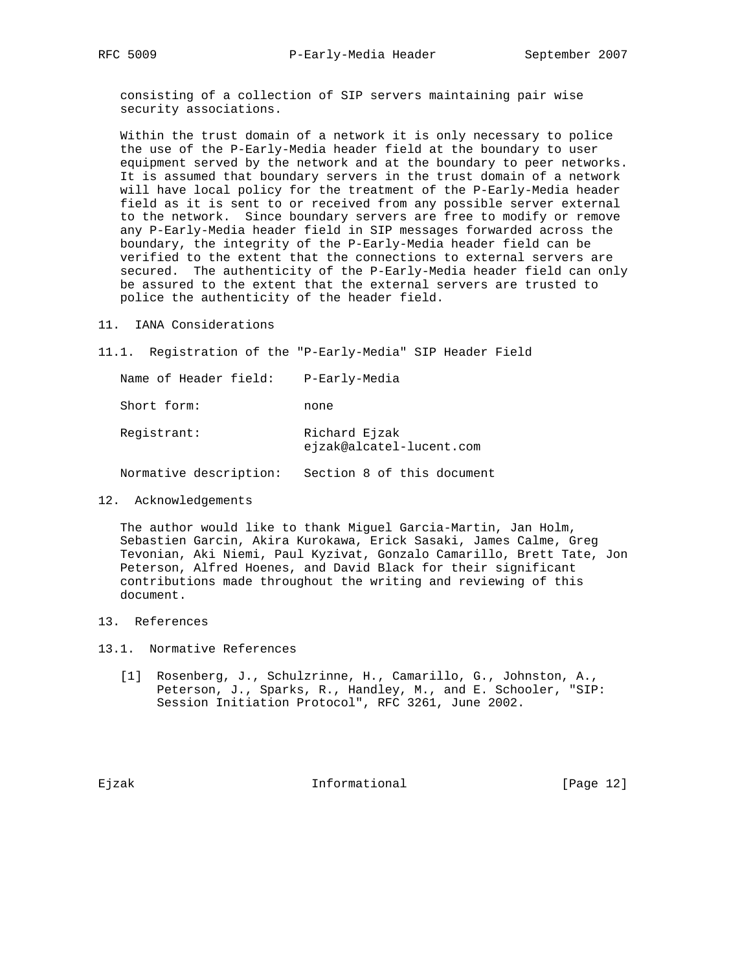consisting of a collection of SIP servers maintaining pair wise security associations.

 Within the trust domain of a network it is only necessary to police the use of the P-Early-Media header field at the boundary to user equipment served by the network and at the boundary to peer networks. It is assumed that boundary servers in the trust domain of a network will have local policy for the treatment of the P-Early-Media header field as it is sent to or received from any possible server external to the network. Since boundary servers are free to modify or remove any P-Early-Media header field in SIP messages forwarded across the boundary, the integrity of the P-Early-Media header field can be verified to the extent that the connections to external servers are secured. The authenticity of the P-Early-Media header field can only be assured to the extent that the external servers are trusted to police the authenticity of the header field.

- 11. IANA Considerations
- 11.1. Registration of the "P-Early-Media" SIP Header Field

| Name of Header field:  | P-Early-Media                             |
|------------------------|-------------------------------------------|
| Short form:            | none                                      |
| Registrant:            | Richard Ejzak<br>ejzak@alcatel-lucent.com |
| Normative description: | Section 8 of this document                |

12. Acknowledgements

 The author would like to thank Miguel Garcia-Martin, Jan Holm, Sebastien Garcin, Akira Kurokawa, Erick Sasaki, James Calme, Greg Tevonian, Aki Niemi, Paul Kyzivat, Gonzalo Camarillo, Brett Tate, Jon Peterson, Alfred Hoenes, and David Black for their significant contributions made throughout the writing and reviewing of this document.

- 13. References
- 13.1. Normative References
	- [1] Rosenberg, J., Schulzrinne, H., Camarillo, G., Johnston, A., Peterson, J., Sparks, R., Handley, M., and E. Schooler, "SIP: Session Initiation Protocol", RFC 3261, June 2002.

Ejzak 10. Informational [Page 12]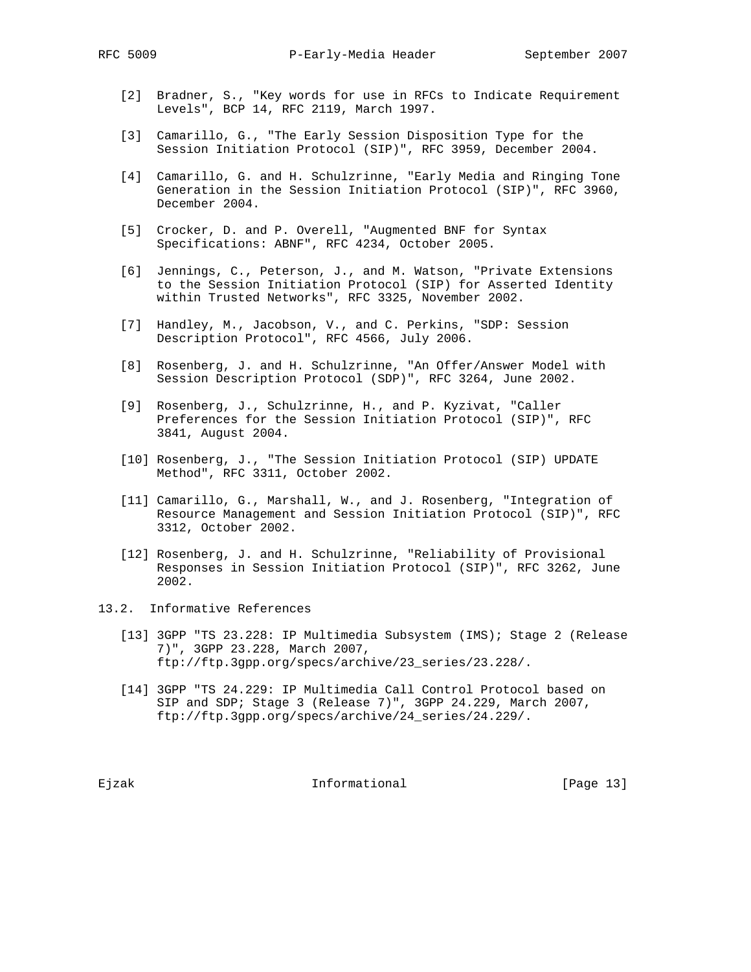- [2] Bradner, S., "Key words for use in RFCs to Indicate Requirement Levels", BCP 14, RFC 2119, March 1997.
- [3] Camarillo, G., "The Early Session Disposition Type for the Session Initiation Protocol (SIP)", RFC 3959, December 2004.
- [4] Camarillo, G. and H. Schulzrinne, "Early Media and Ringing Tone Generation in the Session Initiation Protocol (SIP)", RFC 3960, December 2004.
- [5] Crocker, D. and P. Overell, "Augmented BNF for Syntax Specifications: ABNF", RFC 4234, October 2005.
- [6] Jennings, C., Peterson, J., and M. Watson, "Private Extensions to the Session Initiation Protocol (SIP) for Asserted Identity within Trusted Networks", RFC 3325, November 2002.
- [7] Handley, M., Jacobson, V., and C. Perkins, "SDP: Session Description Protocol", RFC 4566, July 2006.
- [8] Rosenberg, J. and H. Schulzrinne, "An Offer/Answer Model with Session Description Protocol (SDP)", RFC 3264, June 2002.
- [9] Rosenberg, J., Schulzrinne, H., and P. Kyzivat, "Caller Preferences for the Session Initiation Protocol (SIP)", RFC 3841, August 2004.
- [10] Rosenberg, J., "The Session Initiation Protocol (SIP) UPDATE Method", RFC 3311, October 2002.
- [11] Camarillo, G., Marshall, W., and J. Rosenberg, "Integration of Resource Management and Session Initiation Protocol (SIP)", RFC 3312, October 2002.
- [12] Rosenberg, J. and H. Schulzrinne, "Reliability of Provisional Responses in Session Initiation Protocol (SIP)", RFC 3262, June 2002.
- 13.2. Informative References
	- [13] 3GPP "TS 23.228: IP Multimedia Subsystem (IMS); Stage 2 (Release 7)", 3GPP 23.228, March 2007, ftp://ftp.3gpp.org/specs/archive/23\_series/23.228/.
	- [14] 3GPP "TS 24.229: IP Multimedia Call Control Protocol based on SIP and SDP; Stage 3 (Release 7)", 3GPP 24.229, March 2007, ftp://ftp.3gpp.org/specs/archive/24\_series/24.229/.

Ejzak 10. Informational [Page 13]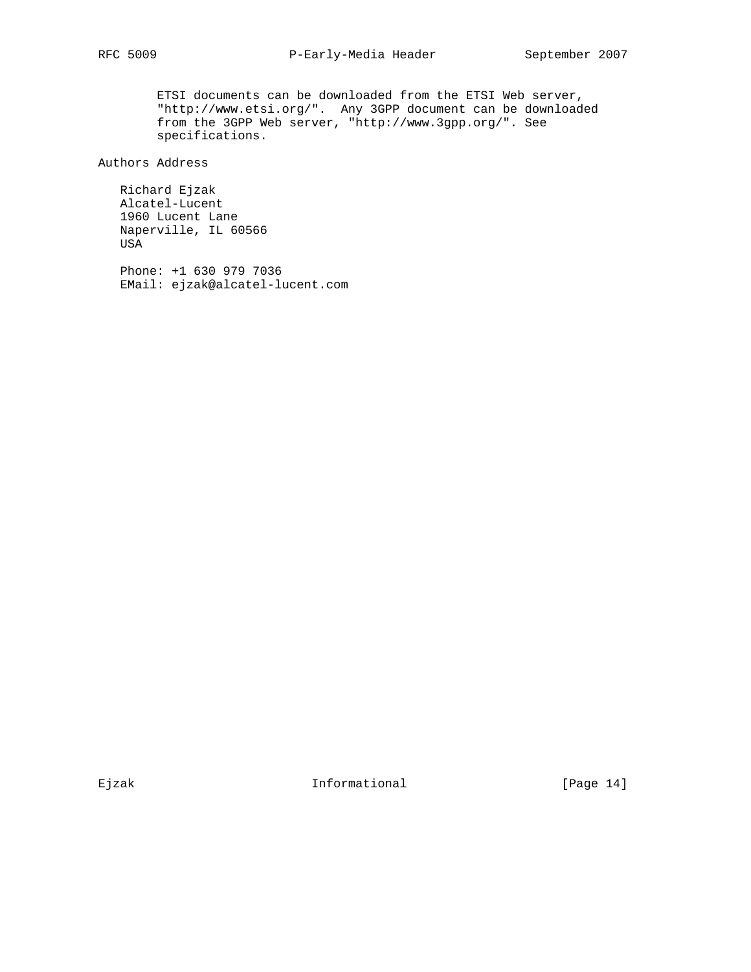ETSI documents can be downloaded from the ETSI Web server, "http://www.etsi.org/". Any 3GPP document can be downloaded from the 3GPP Web server, "http://www.3gpp.org/". See specifications.

Authors Address

 Richard Ejzak Alcatel-Lucent 1960 Lucent Lane Naperville, IL 60566 USA

 Phone: +1 630 979 7036 EMail: ejzak@alcatel-lucent.com

Ejzak 14]